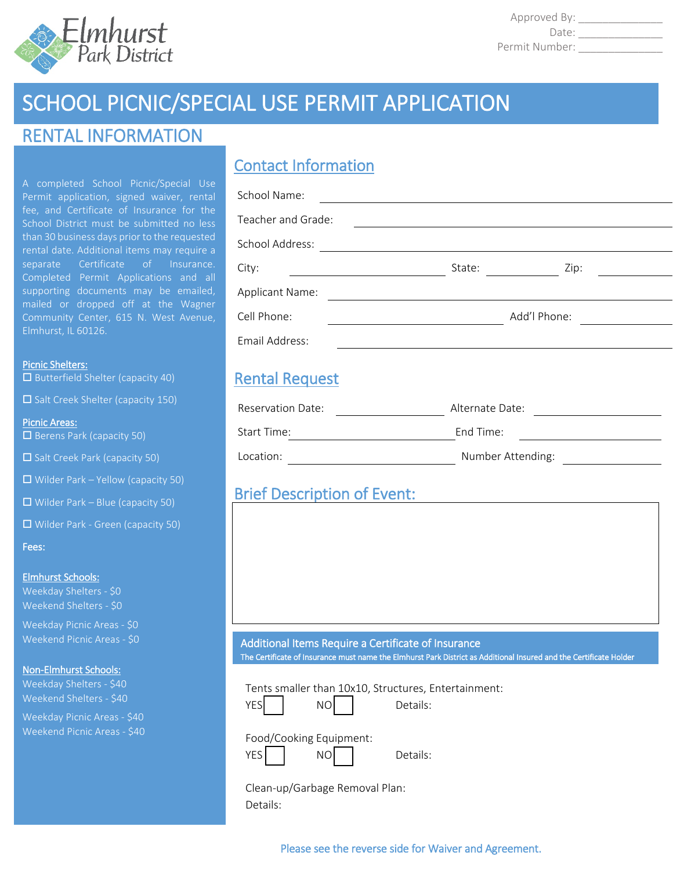

Approved By: \_\_\_\_\_\_\_\_\_\_\_\_\_\_ Date: \_\_\_\_\_\_\_\_\_\_\_\_\_\_ Permit Number: \_\_\_\_\_\_\_\_\_\_\_\_\_\_

# SCHOOL PICNIC/SPECIAL USE PERMIT APPLICATION

# RENTAL INFORMATION

A completed School Picnic/Special Use Permit application, signed waiver, rental fee, and Certificate of Insurance for the School District must be submitted no less than 30 business days prior to the requested rental date. Additional items may require a separate Certificate of Insurance. Completed Permit Applications and all supporting documents may be emailed, mailed or dropped off at the Wagner Community Center, 615 N. West Avenue, Elmhurst, IL 60126.

#### Picnic Shelters:

 $\square$  Butterfield Shelter (capacity 40)

 $\square$  Salt Creek Shelter (capacity 150)

Picnic Areas:  $\square$  Berens Park (capacity 50)

 $\square$  Salt Creek Park (capacity 50)

 $\Box$  Wilder Park – Yellow (capacity 50)

 $\Box$  Wilder Park – Blue (capacity 50)

Wilder Park - Green (capacity 50)

Fees:

#### Elmhurst Schools:

Weekday Shelters - \$0 Weekend Shelters - \$0

Weekday Picnic Areas - \$0 Weekend Picnic Areas - \$0

### Non-Elmhurst Schools:

Weekday Shelters - \$40 Weekend Shelters - \$40

Weekday Picnic Areas - \$40 Weekend Picnic Areas - \$40

# Contact Information

Location: Number Attending:

# Brief Description of Event:

## Additional Items Require a Certificate of Insurance The Certificate of Insurance must name the Elmhurst Park District as Additional Insured and the Certificate Holder

Tents smaller than 10x10, Structures, Entertainment:

| ٦ |  |
|---|--|
|   |  |

YES | NO Details:

### Food/Cooking Equipment:

YES | NO | Details:

Clean-up/Garbage Removal Plan: Details:

Please see the reverse side for Waiver and Agreement.